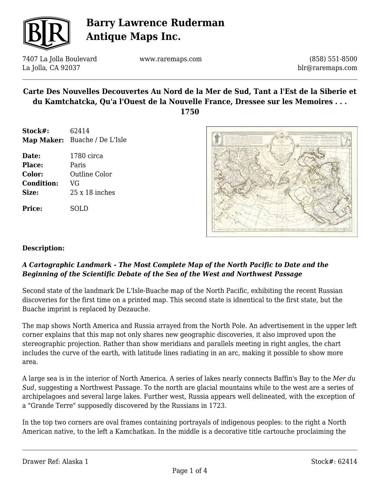

7407 La Jolla Boulevard La Jolla, CA 92037

www.raremaps.com

(858) 551-8500 blr@raremaps.com

## **Carte Des Nouvelles Decouvertes Au Nord de la Mer de Sud, Tant a l'Est de la Siberie et du Kamtchatcka, Qu'a l'Ouest de la Nouvelle France, Dressee sur les Memoires . . .**

**1750**

- **Stock#:** 62414 **Map Maker:** Buache / De L'Isle
- **Date:** 1780 circa **Place:** Paris **Color:** Outline Color **Condition:** VG **Size:** 25 x 18 inches

**Price:** SOLD



### **Description:**

### *A Cartographic Landmark - The Most Complete Map of the North Pacific to Date and the Beginning of the Scientific Debate of the Sea of the West and Northwest Passage*

Second state of the landmark De L'Isle-Buache map of the North Pacific, exhibiting the recent Russian discoveries for the first time on a printed map. This second state is idnentical to the first state, but the Buache imprint is replaced by Dezauche.

The map shows North America and Russia arrayed from the North Pole. An advertisement in the upper left corner explains that this map not only shares new geographic discoveries, it also improved upon the stereographic projection. Rather than show meridians and parallels meeting in right angles, the chart includes the curve of the earth, with latitude lines radiating in an arc, making it possible to show more area.

A large sea is in the interior of North America. A series of lakes nearly connects Baffin's Bay to the *Mer du Sud*, suggesting a Northwest Passage. To the north are glacial mountains while to the west are a series of archipelagoes and several large lakes. Further west, Russia appears well delineated, with the exception of a "Grande Terre" supposedly discovered by the Russians in 1723.

In the top two corners are oval frames containing portrayals of indigenous peoples: to the right a North American native, to the left a Kamchatkan. In the middle is a decorative title cartouche proclaiming the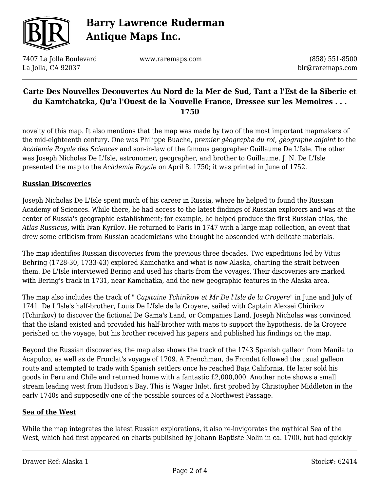

7407 La Jolla Boulevard La Jolla, CA 92037

www.raremaps.com

(858) 551-8500 blr@raremaps.com

## **Carte Des Nouvelles Decouvertes Au Nord de la Mer de Sud, Tant a l'Est de la Siberie et du Kamtchatcka, Qu'a l'Ouest de la Nouvelle France, Dressee sur les Memoires . . . 1750**

novelty of this map. It also mentions that the map was made by two of the most important mapmakers of the mid-eighteenth century. One was Philippe Buache, *premier gèographe du roi*, *gèographe adjoint* to the *Acàdemie Royale des Sciences* and son-in-law of the famous geographer Guillaume De L'Isle. The other was Joseph Nicholas De L'Isle, astronomer, geographer, and brother to Guillaume. J. N. De L'Isle presented the map to the *Acàdemie Royale* on April 8, 1750; it was printed in June of 1752.

### **Russian Discoveries**

Joseph Nicholas De L'Isle spent much of his career in Russia, where he helped to found the Russian Academy of Sciences. While there, he had access to the latest findings of Russian explorers and was at the center of Russia's geographic establishment; for example, he helped produce the first Russian atlas, the *Atlas Russicus,* with Ivan Kyrilov. He returned to Paris in 1747 with a large map collection, an event that drew some criticism from Russian academicians who thought he absconded with delicate materials.

The map identifies Russian discoveries from the previous three decades. Two expeditions led by Vitus Behring (1728-30, 1733-43) explored Kamchatka and what is now Alaska, charting the strait between them. De L'Isle interviewed Bering and used his charts from the voyages. Their discoveries are marked with Bering's track in 1731, near Kamchatka, and the new geographic features in the Alaska area.

The map also includes the track of " *Capitaine Tchirikow et Mr De l'Isle de la Croyere*" in June and July of 1741. De L'Isle's half-brother, Louis De L'Isle de la Croyere, sailed with Captain Alexsei Chirikov (Tchirikov) to discover the fictional De Gama's Land, or Companies Land. Joseph Nicholas was convinced that the island existed and provided his half-brother with maps to support the hypothesis. de la Croyere perished on the voyage, but his brother received his papers and published his findings on the map.

Beyond the Russian discoveries, the map also shows the track of the 1743 Spanish galleon from Manila to Acapulco, as well as de Frondat's voyage of 1709. A Frenchman, de Frondat followed the usual galleon route and attempted to trade with Spanish settlers once he reached Baja California. He later sold his goods in Peru and Chile and returned home with a fantastic £2,000,000. Another note shows a small stream leading west from Hudson's Bay. This is Wager Inlet, first probed by Christopher Middleton in the early 1740s and supposedly one of the possible sources of a Northwest Passage.

#### **Sea of the West**

While the map integrates the latest Russian explorations, it also re-invigorates the mythical Sea of the West, which had first appeared on charts published by Johann Baptiste Nolin in ca. 1700, but had quickly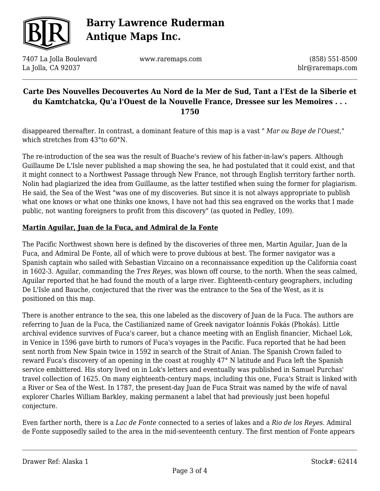

7407 La Jolla Boulevard La Jolla, CA 92037

www.raremaps.com

(858) 551-8500 blr@raremaps.com

## **Carte Des Nouvelles Decouvertes Au Nord de la Mer de Sud, Tant a l'Est de la Siberie et du Kamtchatcka, Qu'a l'Ouest de la Nouvelle France, Dressee sur les Memoires . . . 1750**

disappeared thereafter. In contrast, a dominant feature of this map is a vast " *Mar ou Baye de l'Ouest*," which stretches from 43°to 60°N.

The re-introduction of the sea was the result of Buache's review of his father-in-law's papers. Although Guillaume De L'Isle never published a map showing the sea, he had postulated that it could exist, and that it might connect to a Northwest Passage through New France, not through English territory farther north. Nolin had plagiarized the idea from Guillaume, as the latter testified when suing the former for plagiarism. He said, the Sea of the West "was one of my discoveries. But since it is not always appropriate to publish what one knows or what one thinks one knows, I have not had this sea engraved on the works that I made public, not wanting foreigners to profit from this discovery" (as quoted in Pedley, 109).

### **Martin Aguilar, Juan de la Fuca, and Admiral de la Fonte**

The Pacific Northwest shown here is defined by the discoveries of three men, Martin Aguilar, Juan de la Fuca, and Admiral De Fonte, all of which were to prove dubious at best. The former navigator was a Spanish captain who sailed with Sebastian Vizcaino on a reconnaissance expedition up the California coast in 1602-3. Aguilar, commanding the *Tres Reyes,* was blown off course, to the north. When the seas calmed, Aguilar reported that he had found the mouth of a large river. Eighteenth-century geographers, including De L'Isle and Bauche, conjectured that the river was the entrance to the Sea of the West, as it is positioned on this map.

There is another entrance to the sea, this one labeled as the discovery of Juan de la Fuca. The authors are referring to Juan de la Fuca, the Castilianized name of Greek navigator Ioánnis Fokás (Phokás). Little archival evidence survives of Fuca's career, but a chance meeting with an English financier, Michael Lok, in Venice in 1596 gave birth to rumors of Fuca's voyages in the Pacific. Fuca reported that he had been sent north from New Spain twice in 1592 in search of the Strait of Anian. The Spanish Crown failed to reward Fuca's discovery of an opening in the coast at roughly 47° N latitude and Fuca left the Spanish service embittered. His story lived on in Lok's letters and eventually was published in Samuel Purchas' travel collection of 1625. On many eighteenth-century maps, including this one, Fuca's Strait is linked with a River or Sea of the West. In 1787, the present-day Juan de Fuca Strait was named by the wife of naval explorer Charles William Barkley, making permanent a label that had previously just been hopeful conjecture.

Even farther north, there is a *Lac de Fonte* connected to a series of lakes and a *Rio de los Reyes*. Admiral de Fonte supposedly sailed to the area in the mid-seventeenth century. The first mention of Fonte appears